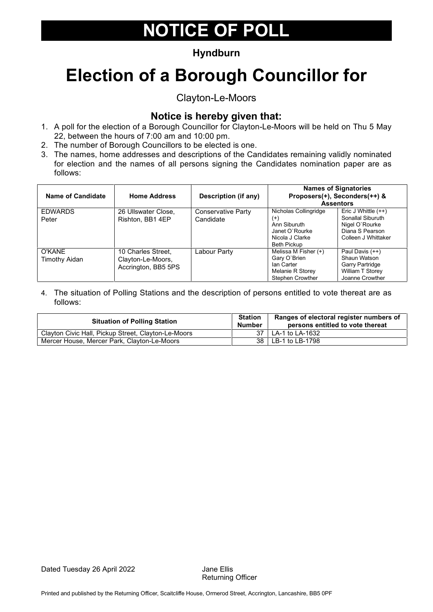### **Hyndburn**

## **Election of a Borough Councillor for**

Clayton-Le-Moors

### **Notice is hereby given that:**

- 1. A poll for the election of a Borough Councillor for Clayton-Le-Moors will be held on Thu 5 May 22, between the hours of 7:00 am and 10:00 pm.
- 2. The number of Borough Councillors to be elected is one.
- 3. The names, home addresses and descriptions of the Candidates remaining validly nominated for election and the names of all persons signing the Candidates nomination paper are as follows:

| Name of Candidate       | <b>Home Address</b>                                            | Description (if any)            | Proposers(+), Seconders(++) &<br><b>Assentors</b>                                                            | <b>Names of Signatories</b>                                                                            |
|-------------------------|----------------------------------------------------------------|---------------------------------|--------------------------------------------------------------------------------------------------------------|--------------------------------------------------------------------------------------------------------|
| <b>EDWARDS</b><br>Peter | 26 Ullswater Close,<br>Rishton, BB1 4EP                        | Conservative Party<br>Candidate | Nicholas Collingridge<br>$^{(+)}$<br>Ann Siburuth<br>Janet O'Rourke<br>Nicola J Clarke<br><b>Beth Pickup</b> | Eric J Whittle $(++)$<br>Sonallal Siburuth<br>Nigel O'Rourke<br>Diana S Pearson<br>Colleen J Whittaker |
| O'KANE<br>Timothy Aidan | 10 Charles Street,<br>Clayton-Le-Moors,<br>Accrington, BB5 5PS | Labour Party                    | Melissa M Fisher (+)<br>Gary O'Brien<br>Ian Carter<br>Melanie R Storey<br>Stephen Crowther                   | Paul Davis (++)<br>Shaun Watson<br>Garry Partridge<br>William T Storey<br>Joanne Crowther              |

| <b>Situation of Polling Station</b>                 | <b>Station</b><br><b>Number</b> | Ranges of electoral register numbers of<br>persons entitled to vote thereat |
|-----------------------------------------------------|---------------------------------|-----------------------------------------------------------------------------|
| Clayton Civic Hall, Pickup Street, Clayton-Le-Moors |                                 | 37 LA-1 to LA-1632                                                          |
| Mercer House, Mercer Park, Clayton-Le-Moors         |                                 | 38 LB-1 to LB-1798                                                          |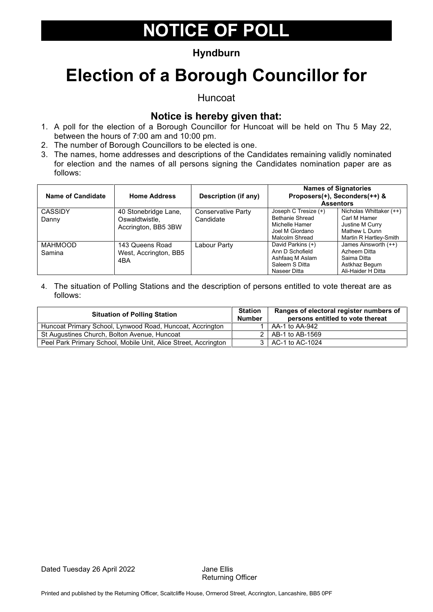### **Hyndburn**

### **Election of a Borough Councillor for**

Huncoat

#### **Notice is hereby given that:**

- 1. A poll for the election of a Borough Councillor for Huncoat will be held on Thu 5 May 22, between the hours of 7:00 am and 10:00 pm.
- 2. The number of Borough Councillors to be elected is one.
- 3. The names, home addresses and descriptions of the Candidates remaining validly nominated for election and the names of all persons signing the Candidates nomination paper are as follows:

| Name of Candidate        | <b>Home Address</b>                                           | Description (if any)            | <b>Names of Signatories</b><br>Proposers(+), Seconders(++) &                                          | <b>Assentors</b>                                                                                      |
|--------------------------|---------------------------------------------------------------|---------------------------------|-------------------------------------------------------------------------------------------------------|-------------------------------------------------------------------------------------------------------|
| <b>CASSIDY</b><br>Danny  | 40 Stonebridge Lane,<br>Oswaldtwistle.<br>Accrington, BB5 3BW | Conservative Party<br>Candidate | Joseph C Tresize (+)<br><b>Bethanie Shread</b><br>Michelle Hamer<br>Joel M Giordano<br>Malcolm Shread | Nicholas Whittaker (++)<br>Carl M Hamer<br>Justine M Curry<br>Mathew L Dunn<br>Martin R Hartley-Smith |
| <b>MAHMOOD</b><br>Samina | 143 Queens Road<br>West, Accrington, BB5<br>4BA               | Labour Party                    | David Parkins (+)<br>Ann D Schofield<br>Ashfaaq M Aslam<br>Saleem S Ditta<br>Naseer Ditta             | James Ainsworth (++)<br>Azheem Ditta<br>Saima Ditta<br>Astkhaz Begum<br>Ali-Haider H Ditta            |

| <b>Situation of Polling Station</b>                             | <b>Station</b><br><b>Number</b> | Ranges of electoral register numbers of<br>persons entitled to vote thereat |
|-----------------------------------------------------------------|---------------------------------|-----------------------------------------------------------------------------|
| Huncoat Primary School, Lynwood Road, Huncoat, Accrington       |                                 | LAA-1 to AA-942                                                             |
| St Augustines Church, Bolton Avenue, Huncoat                    |                                 | 2   AB-1 to AB-1569                                                         |
| Peel Park Primary School, Mobile Unit, Alice Street, Accrington |                                 | 3   AC-1 to AC-1024                                                         |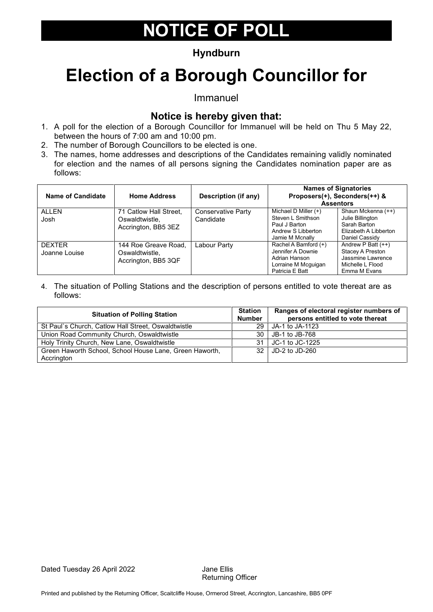### **Hyndburn**

## **Election of a Borough Councillor for**

Immanuel

#### **Notice is hereby given that:**

- 1. A poll for the election of a Borough Councillor for Immanuel will be held on Thu 5 May 22, between the hours of 7:00 am and 10:00 pm.
- 2. The number of Borough Councillors to be elected is one.
- 3. The names, home addresses and descriptions of the Candidates remaining validly nominated for election and the names of all persons signing the Candidates nomination paper are as follows:

| Name of Candidate              | <b>Home Address</b>                                             | Description (if any)                   | <b>Names of Signatories</b><br>Proposers(+), Seconders(++) &<br><b>Assentors</b>                      |                                                                                                   |
|--------------------------------|-----------------------------------------------------------------|----------------------------------------|-------------------------------------------------------------------------------------------------------|---------------------------------------------------------------------------------------------------|
| ALLEN<br>Josh                  | 71 Catlow Hall Street,<br>Oswaldtwistle.<br>Accrington, BB5 3EZ | <b>Conservative Party</b><br>Candidate | Michael D Miller $(+)$<br>Steven L Smithson<br>Paul J Barton<br>Andrew S Libberton<br>Jamie M Mcnally | Shaun Mckenna (++)<br>Julie Billington<br>Sarah Barton<br>Elizabeth A Libberton<br>Daniel Cassidy |
| <b>DEXTER</b><br>Joanne Louise | 144 Roe Greave Road.<br>Oswaldtwistle.<br>Accrington, BB5 3QF   | Labour Party                           | Rachel A Bamford (+)<br>Jennifer A Downie<br>Adrian Hanson<br>Lorraine M Mcguigan<br>Patricia E Batt  | Andrew P Batt $(++)$<br>Stacey A Preston<br>Jassmine Lawrence<br>Michelle L Flood<br>Emma M Evans |

| <b>Situation of Polling Station</b>                     |    | Ranges of electoral register numbers of<br>persons entitled to vote thereat |
|---------------------------------------------------------|----|-----------------------------------------------------------------------------|
| St Paul's Church, Catlow Hall Street, Oswaldtwistle     | 29 | JA-1 to JA-1123                                                             |
| Union Road Community Church, Oswaldtwistle              | 30 | JB-1 to JB-768                                                              |
| Holy Trinity Church, New Lane, Oswaldtwistle            | 31 | JC-1 to JC-1225                                                             |
| Green Haworth School, School House Lane, Green Haworth, |    | 32 JD-2 to JD-260                                                           |
| Accrington                                              |    |                                                                             |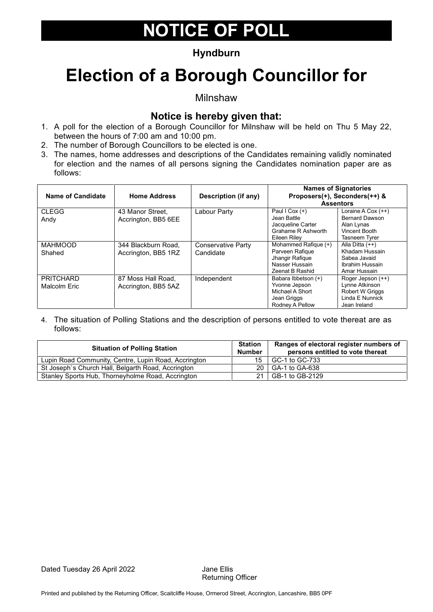### **Hyndburn**

## **Election of a Borough Councillor for**

Milnshaw

#### **Notice is hereby given that:**

- 1. A poll for the election of a Borough Councillor for Milnshaw will be held on Thu 5 May 22, between the hours of 7:00 am and 10:00 pm.
- 2. The number of Borough Councillors to be elected is one.
- 3. The names, home addresses and descriptions of the Candidates remaining validly nominated for election and the names of all persons signing the Candidates nomination paper are as follows:

| Name of Candidate                | <b>Home Address</b>                        | Description (if any)            |                                                                                                 | <b>Names of Signatories</b><br>Proposers(+), Seconders(++) &<br><b>Assentors</b>                 |
|----------------------------------|--------------------------------------------|---------------------------------|-------------------------------------------------------------------------------------------------|--------------------------------------------------------------------------------------------------|
| <b>CLEGG</b><br>Andy             | 43 Manor Street.<br>Accrington, BB5 6EE    | Labour Party                    | Paul I Cox $(+)$<br>Jean Battle<br>Jacqueline Carter<br>Grahame R Ashworth<br>Eileen Rilev      | Loraine A Cox $(++)$<br><b>Bernard Dawson</b><br>Alan Lynas<br>Vincent Booth<br>Tasneem Tyrer    |
| <b>MAHMOOD</b><br>Shahed         | 344 Blackburn Road.<br>Accrington, BB5 1RZ | Conservative Party<br>Candidate | Mohammed Rafique (+)<br>Parveen Rafique<br>Jhangir Rafigue<br>Nasser Hussain<br>Zeenat B Rashid | Alla Ditta (++)<br>Khadam Hussain<br>Sabea Javaid<br>Ibrahim Hussain<br>Amar Hussain             |
| <b>PRITCHARD</b><br>Malcolm Eric | 87 Moss Hall Road,<br>Accrington, BB5 5AZ  | Independent                     | Babara Ibbetson (+)<br>Yvonne Jepson<br>Michael A Short<br>Jean Griggs<br>Rodney A Pellow       | Roger Jepson (++)<br>Lynne Atkinson<br><b>Robert W Griggs</b><br>Linda E Nunnick<br>Jean Ireland |

| <b>Situation of Polling Station</b>                  | <b>Station</b><br><b>Number</b> | Ranges of electoral register numbers of<br>persons entitled to vote thereat |
|------------------------------------------------------|---------------------------------|-----------------------------------------------------------------------------|
| Lupin Road Community, Centre, Lupin Road, Accrington | 15                              | GC-1 to GC-733                                                              |
| St Joseph's Church Hall, Belgarth Road, Accrington   |                                 | 20 GA-1 to GA-638                                                           |
| Stanley Sports Hub, Thorneyholme Road, Accrington    |                                 | GB-1 to GB-2129                                                             |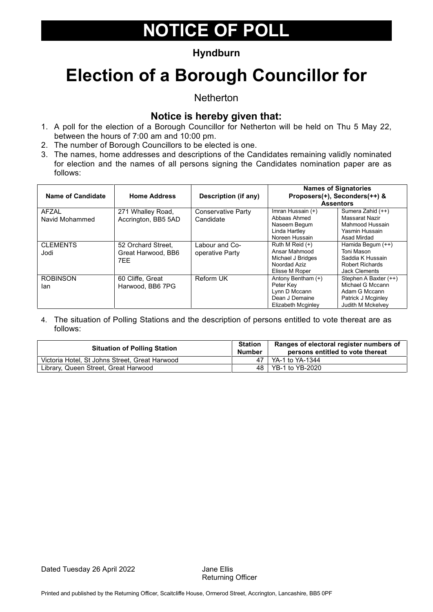### **Hyndburn**

## **Election of a Borough Councillor for**

**Netherton** 

### **Notice is hereby given that:**

- 1. A poll for the election of a Borough Councillor for Netherton will be held on Thu 5 May 22, between the hours of 7:00 am and 10:00 pm.
- 2. The number of Borough Councillors to be elected is one.
- 3. The names, home addresses and descriptions of the Candidates remaining validly nominated for election and the names of all persons signing the Candidates nomination paper are as follows:

| <b>Name of Candidate</b> | <b>Home Address</b>                             | Description (if any)              |                                                                                           | <b>Names of Signatories</b><br>Proposers(+), Seconders(++) &<br><b>Assentors</b>                             |
|--------------------------|-------------------------------------------------|-----------------------------------|-------------------------------------------------------------------------------------------|--------------------------------------------------------------------------------------------------------------|
| AFZAL<br>Navid Mohammed  | 271 Whalley Road,<br>Accrington, BB5 5AD        | Conservative Party<br>Candidate   | Imran Hussain (+)<br>Abbaas Ahmed<br>Naseem Begum<br>Linda Hartley<br>Noreen Hussain      | Sumera Zahid (++)<br>Massarat Nazir<br>Mahmood Hussain<br>Yasmin Hussain<br>Asad Mirdad                      |
| <b>CLEMENTS</b><br>Jodi  | 52 Orchard Street,<br>Great Harwood, BB6<br>7FF | Labour and Co-<br>operative Party | Ruth M Reid $(+)$<br>Ansar Mahmood<br>Michael J Bridges<br>Noordad Aziz<br>Elisse M Roper | Hamida Begum (++)<br>Toni Mason<br>Saddia K Hussain<br>Robert Richards<br><b>Jack Clements</b>               |
| <b>ROBINSON</b><br>lan   | 60 Cliffe, Great<br>Harwood, BB6 7PG            | <b>Reform UK</b>                  | Antony Bentham (+)<br>Peter Kev<br>Lynn D Mccann<br>Dean J Demaine<br>Elizabeth Mcginley  | Stephen A Baxter (++)<br>Michael G Mccann<br>Adam G Mccann<br>Patrick J Mcginley<br><b>Judith M Mckelvev</b> |

| <b>Situation of Polling Station</b>            |  | Ranges of electoral register numbers of<br>persons entitled to vote thereat |
|------------------------------------------------|--|-----------------------------------------------------------------------------|
| Victoria Hotel, St Johns Street, Great Harwood |  | 47   YA-1 to YA-1344                                                        |
| Library, Queen Street, Great Harwood           |  | 48   YB-1 to YB-2020                                                        |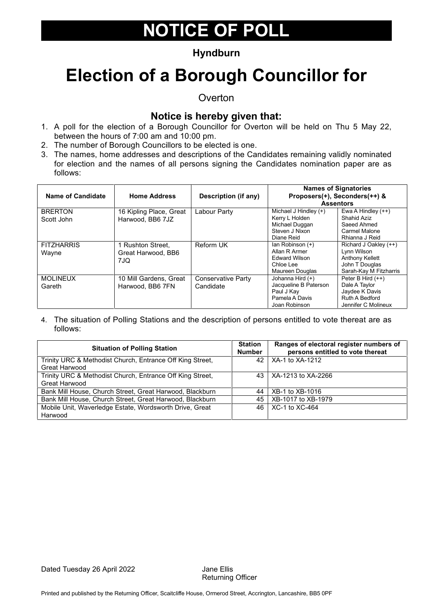### **Hyndburn**

### **Election of a Borough Councillor for**

**Overton** 

#### **Notice is hereby given that:**

- 1. A poll for the election of a Borough Councillor for Overton will be held on Thu 5 May 22, between the hours of 7:00 am and 10:00 pm.
- 2. The number of Borough Councillors to be elected is one.
- 3. The names, home addresses and descriptions of the Candidates remaining validly nominated for election and the names of all persons signing the Candidates nomination paper are as follows:

| Name of Candidate | <b>Home Address</b>     | Description (if any) |                       | <b>Names of Signatories</b><br>Proposers(+), Seconders(++) & |
|-------------------|-------------------------|----------------------|-----------------------|--------------------------------------------------------------|
|                   |                         |                      |                       | <b>Assentors</b>                                             |
| <b>BRERTON</b>    | 16 Kipling Place, Great | Labour Party         | Michael J Hindley (+) | Ewa A Hindley $(++)$                                         |
| Scott John        | Harwood, BB6 7JZ        |                      | Kerry L Holden        | Shahid Aziz                                                  |
|                   |                         |                      | Michael Duggan        | Saeed Ahmed                                                  |
|                   |                         |                      | Steven J Nixon        | Carmel Malone                                                |
|                   |                         |                      | Diane Reid            | Rhianna J Reid                                               |
| <b>FITZHARRIS</b> | 1 Rushton Street.       | Reform UK            | lan Robinson (+)      | Richard J Oakley (++)                                        |
| Wayne             | Great Harwood, BB6      |                      | Allan R Armer         | Lynn Wilson                                                  |
|                   | 7JQ.                    |                      | <b>Edward Wilson</b>  | Anthony Kellett                                              |
|                   |                         |                      | Chloe Lee             | John T Douglas                                               |
|                   |                         |                      | Maureen Douglas       | Sarah-Kay M Fitzharris                                       |
| <b>MOLINEUX</b>   | 10 Mill Gardens, Great  | Conservative Party   | Johanna Hird (+)      | Peter B Hird (++)                                            |
| Gareth            | Harwood, BB6 7FN        | Candidate            | Jacqueline B Paterson | Dale A Taylor                                                |
|                   |                         |                      | Paul J Kay            | Jaydee K Davis                                               |
|                   |                         |                      | Pamela A Davis        | Ruth A Bedford                                               |
|                   |                         |                      | Joan Robinson         | Jennifer C Molineux                                          |

| <b>Situation of Polling Station</b>                       |     | Ranges of electoral register numbers of<br>persons entitled to vote thereat |  |
|-----------------------------------------------------------|-----|-----------------------------------------------------------------------------|--|
| Trinity URC & Methodist Church, Entrance Off King Street, | 42  | XA-1 to XA-1212                                                             |  |
| Great Harwood                                             |     |                                                                             |  |
| Trinity URC & Methodist Church, Entrance Off King Street, |     | 43   XA-1213 to XA-2266                                                     |  |
| Great Harwood                                             |     |                                                                             |  |
| Bank Mill House, Church Street, Great Harwood, Blackburn  | 44  | XB-1 to XB-1016                                                             |  |
| Bank Mill House, Church Street, Great Harwood, Blackburn  | 45  | XB-1017 to XB-1979                                                          |  |
| Mobile Unit, Waverledge Estate, Wordsworth Drive, Great   | 46. | $XC-1$ to $XC-464$                                                          |  |
| Harwood                                                   |     |                                                                             |  |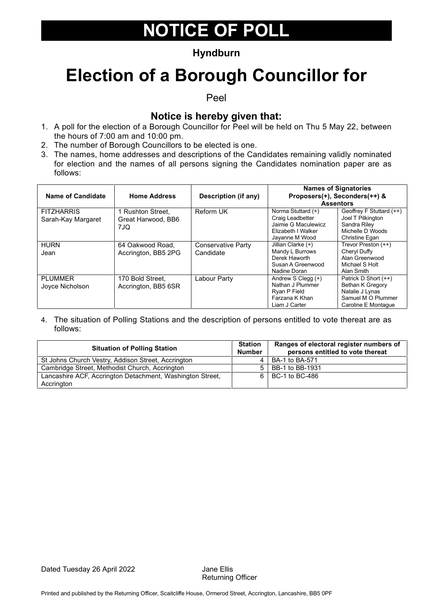### **Hyndburn**

### **Election of a Borough Councillor for**

Peel

#### **Notice is hereby given that:**

- 1. A poll for the election of a Borough Councillor for Peel will be held on Thu 5 May 22, between the hours of 7:00 am and 10:00 pm.
- 2. The number of Borough Councillors to be elected is one.
- 3. The names, home addresses and descriptions of the Candidates remaining validly nominated for election and the names of all persons signing the Candidates nomination paper are as follows:

| Name of Candidate                       | <b>Home Address</b>                            | Description (if any)            |                                                                                                       | <b>Names of Signatories</b><br>Proposers(+), Seconders(++) &<br><b>Assentors</b>                                |
|-----------------------------------------|------------------------------------------------|---------------------------------|-------------------------------------------------------------------------------------------------------|-----------------------------------------------------------------------------------------------------------------|
| <b>FITZHARRIS</b><br>Sarah-Kay Margaret | 1 Rushton Street.<br>Great Harwood, BB6<br>7JQ | Reform UK                       | Norma Stuttard (+)<br>Craig Leadbetter<br>Jaimie G Maculewicz<br>Elizabeth I Walker<br>Jayanne M Wood | Geoffrey F Stuttard (++)<br>Joel T Pilkington<br>Sandra Rilev<br>Michelle D Woods<br>Christine Egan             |
| <b>HURN</b><br>Jean                     | 64 Oakwood Road,<br>Accrington, BB5 2PG        | Conservative Party<br>Candidate | Jillian Clarke (+)<br>Mandy L Burrows<br>Derek Haworth<br>Susan A Greenwood<br>Nadine Doran           | Trevor Preston (++)<br>Cheryl Duffy<br>Alan Greenwood<br>Michael S Holt<br>Alan Smith                           |
| <b>PLUMMER</b><br>Joyce Nicholson       | 170 Bold Street.<br>Accrington, BB5 6SR        | Labour Party                    | Andrew S Clegg (+)<br>Nathan J Plummer<br>Ryan P Field<br>Farzana K Khan<br>Liam J Carter             | Patrick D Short (++)<br><b>Bethan K Gregory</b><br>Natalie J Lynas<br>Samuel M O Plummer<br>Caroline E Montague |

| <b>Situation of Polling Station</b>                       | <b>Station</b><br><b>Number</b> | Ranges of electoral register numbers of<br>persons entitled to vote thereat |
|-----------------------------------------------------------|---------------------------------|-----------------------------------------------------------------------------|
| St Johns Church Vestry, Addison Street, Accrington        |                                 | BA-1 to BA-571                                                              |
| Cambridge Street, Methodist Church, Accrington            |                                 | BB-1 to BB-1931                                                             |
| Lancashire ACF, Accrington Detachment, Washington Street, |                                 | 6 BC-1 to BC-486                                                            |
| Accrington                                                |                                 |                                                                             |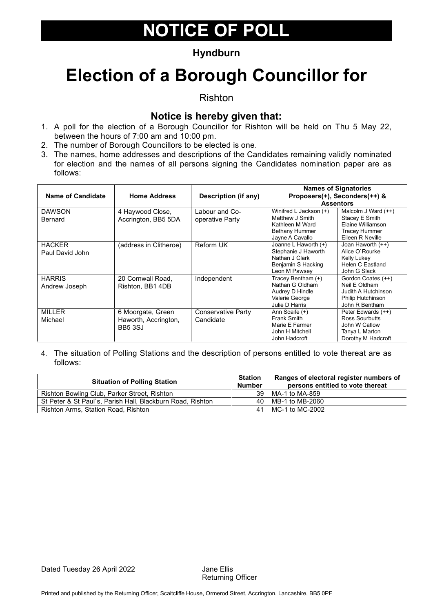### **Hyndburn**

### **Election of a Borough Councillor for**

Rishton

### **Notice is hereby given that:**

- 1. A poll for the election of a Borough Councillor for Rishton will be held on Thu 5 May 22, between the hours of 7:00 am and 10:00 pm.
- 2. The number of Borough Councillors to be elected is one.
- 3. The names, home addresses and descriptions of the Candidates remaining validly nominated for election and the names of all persons signing the Candidates nomination paper are as follows:

| Name of Candidate                | <b>Home Address</b>                                         | Description (if any)              |                                                                                                          | <b>Names of Signatories</b><br>Proposers(+), Seconders(++) &<br><b>Assentors</b>                       |
|----------------------------------|-------------------------------------------------------------|-----------------------------------|----------------------------------------------------------------------------------------------------------|--------------------------------------------------------------------------------------------------------|
| <b>DAWSON</b><br>Bernard         | 4 Haywood Close,<br>Accrington, BB5 5DA                     | Labour and Co-<br>operative Party | Winifred L Jackson (+)<br>Matthew J Smith<br>Kathleen M Ward<br><b>Bethany Hummer</b><br>Jayne A Cavallo | Malcolm J Ward (++)<br>Stacey E Smith<br>Elaine Williamson<br><b>Tracey Hummer</b><br>Eileen R Neville |
| <b>HACKER</b><br>Paul David John | (address in Clitheroe)                                      | Reform UK                         | Joanne L Haworth (+)<br>Stephanie J Haworth<br>Nathan J Clark<br>Benjamin S Hacking<br>Leon M Pawsey     | Joan Haworth (++)<br>Alice O'Rourke<br>Kelly Lukey<br>Helen C Eastland<br>John G Slack                 |
| <b>HARRIS</b><br>Andrew Joseph   | 20 Cornwall Road,<br>Rishton, BB1 4DB                       | Independent                       | Tracey Bentham (+)<br>Nathan G Oldham<br>Audrey D Hindle<br>Valerie George<br>Julie D Harris             | Gordon Coates (++)<br>Neil E Oldham<br>Judith A Hutchinson<br>Philip Hutchinson<br>John R Bentham      |
| <b>MILLER</b><br>Michael         | 6 Moorgate, Green<br>Haworth, Accrington,<br><b>BB5 3SJ</b> | Conservative Party<br>Candidate   | Ann Scaife (+)<br>Frank Smith<br>Marie E Farmer<br>John H Mitchell<br>John Hadcroft                      | Peter Edwards (++)<br>Ross Sourbutts<br>John W Catlow<br>Tanya L Marton<br>Dorothy M Hadcroft          |

| <b>Situation of Polling Station</b>                        | <b>Station</b><br><b>Number</b> | Ranges of electoral register numbers of<br>persons entitled to vote thereat |
|------------------------------------------------------------|---------------------------------|-----------------------------------------------------------------------------|
| Rishton Bowling Club, Parker Street, Rishton               | 39                              | MA-1 to MA-859                                                              |
| St Peter & St Paul's, Parish Hall, Blackburn Road, Rishton |                                 | 40   MB-1 to MB-2060                                                        |
| Rishton Arms, Station Road, Rishton                        |                                 | $\mid$ MC-1 to MC-2002                                                      |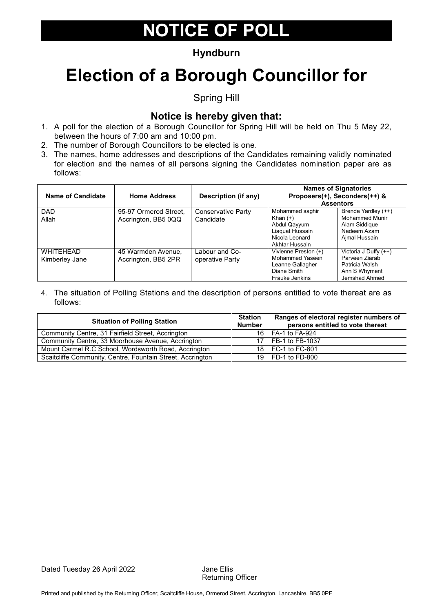### **Hyndburn**

# **Election of a Borough Councillor for**

Spring Hill

### **Notice is hereby given that:**

- 1. A poll for the election of a Borough Councillor for Spring Hill will be held on Thu 5 May 22, between the hours of 7:00 am and 10:00 pm.
- 2. The number of Borough Councillors to be elected is one.
- 3. The names, home addresses and descriptions of the Candidates remaining validly nominated for election and the names of all persons signing the Candidates nomination paper are as follows:

| Name of Candidate                  | <b>Home Address</b>                          | Description (if any)              | <b>Names of Signatories</b><br>Proposers(+), Seconders(++) &<br><b>Assentors</b>                     |                                                                                               |
|------------------------------------|----------------------------------------------|-----------------------------------|------------------------------------------------------------------------------------------------------|-----------------------------------------------------------------------------------------------|
| <b>DAD</b><br>Allah                | 95-97 Ormerod Street.<br>Accrington, BB5 0QQ | Conservative Party<br>Candidate   | Mohammed saghir<br>Khan $(+)$<br>Abdul Qayyum<br>Liaquat Hussain<br>Nicola Leonard<br>Akhtar Hussain | Brenda Yardley (++)<br><b>Mohammed Munir</b><br>Alam Siddigue<br>Nadeem Azam<br>Ajmal Hussain |
| <b>WHITEHEAD</b><br>Kimberley Jane | 45 Warmden Avenue,<br>Accrington, BB5 2PR    | Labour and Co-<br>operative Party | Vivienne Preston (+)<br>Mohammed Yaseen<br>Leanne Gallagher<br>Diane Smith<br><b>Frauke Jenkins</b>  | Victoria J Duffy (++)<br>Parveen Ziarab<br>Patricia Walsh<br>Ann S Whyment<br>Jemshad Ahmed   |

| <b>Situation of Polling Station</b>                        |  | Ranges of electoral register numbers of<br>persons entitled to vote thereat |
|------------------------------------------------------------|--|-----------------------------------------------------------------------------|
| Community Centre, 31 Fairfield Street, Accrington          |  | 16   FA-1 to FA-924                                                         |
| Community Centre, 33 Moorhouse Avenue, Accrington          |  | 17   FB-1 to FB-1037                                                        |
| Mount Carmel R.C School, Wordsworth Road, Accrington       |  | 18   FC-1 to FC-801                                                         |
| Scaitcliffe Community, Centre, Fountain Street, Accrington |  | 19   FD-1 to FD-800                                                         |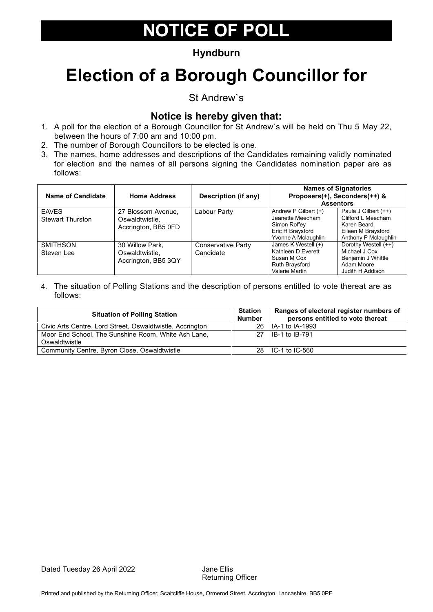### **Hyndburn**

# **Election of a Borough Councillor for**

St Andrew`s

#### **Notice is hereby given that:**

- 1. A poll for the election of a Borough Councillor for St Andrew`s will be held on Thu 5 May 22, between the hours of 7:00 am and 10:00 pm.
- 2. The number of Borough Councillors to be elected is one.
- 3. The names, home addresses and descriptions of the Candidates remaining validly nominated for election and the names of all persons signing the Candidates nomination paper are as follows:

| Name of Candidate                       | <b>Home Address</b>                                         | Description (if any)                   | <b>Names of Signatories</b><br>Proposers(+), Seconders(++) &<br><b>Assentors</b>                      |                                                                                                         |
|-----------------------------------------|-------------------------------------------------------------|----------------------------------------|-------------------------------------------------------------------------------------------------------|---------------------------------------------------------------------------------------------------------|
| <b>EAVES</b><br><b>Stewart Thurston</b> | 27 Blossom Avenue,<br>Oswaldtwistle.<br>Accrington, BB5 0FD | Labour Party                           | Andrew P Gilbert $(+)$<br>Jeanette Meecham<br>Simon Roffey<br>Eric H Braysford<br>Yvonne A Mclaughlin | Paula J Gilbert (++)<br>Clifford L Meecham<br>Karen Beard<br>Eileen M Braysford<br>Anthony P Mclaughlin |
| <b>SMITHSON</b><br>Steven Lee           | 30 Willow Park,<br>Oswaldtwistle.<br>Accrington, BB5 3QY    | <b>Conservative Party</b><br>Candidate | James K Westell (+)<br>Kathleen D Everett<br>Susan M Cox<br><b>Ruth Braysford</b><br>Valerie Martin   | Dorothy Westell (++)<br>Michael J Cox<br>Benjamin J Whittle<br>Adam Moore<br>Judith H Addison           |

| <b>Situation of Polling Station</b>                                  | <b>Station</b><br><b>Number</b> | Ranges of electoral register numbers of<br>persons entitled to vote thereat |
|----------------------------------------------------------------------|---------------------------------|-----------------------------------------------------------------------------|
| Civic Arts Centre, Lord Street, Oswaldtwistle, Accrington            | 26 I                            | LIA-1 to IA-1993                                                            |
| Moor End School. The Sunshine Room. White Ash Lane.<br>Oswaldtwistle |                                 | 27   IB-1 to IB-791                                                         |
| Community Centre, Byron Close, Oswaldtwistle                         |                                 | 28   IC-1 to IC-560                                                         |